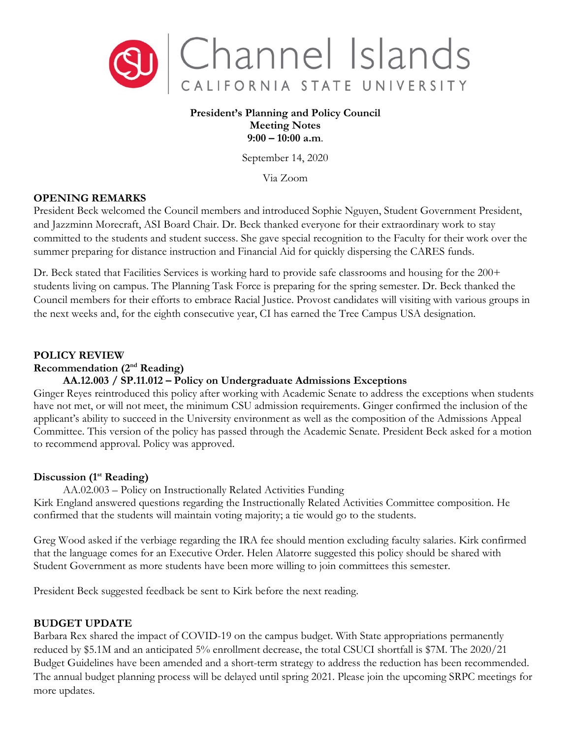

### **President's Planning and Policy Council Meeting Notes 9:00 – 10:00 a.m**.

September 14, 2020

Via Zoom

## **OPENING REMARKS**

President Beck welcomed the Council members and introduced Sophie Nguyen, Student Government President, and Jazzminn Morecraft, ASI Board Chair. Dr. Beck thanked everyone for their extraordinary work to stay committed to the students and student success. She gave special recognition to the Faculty for their work over the summer preparing for distance instruction and Financial Aid for quickly dispersing the CARES funds.

Dr. Beck stated that Facilities Services is working hard to provide safe classrooms and housing for the 200+ students living on campus. The Planning Task Force is preparing for the spring semester. Dr. Beck thanked the Council members for their efforts to embrace Racial Justice. Provost candidates will visiting with various groups in the next weeks and, for the eighth consecutive year, CI has earned the Tree Campus USA designation.

## **POLICY REVIEW**

#### **Recommendation (2nd Reading)**

# **AA.12.003 / SP.11.012 – Policy on Undergraduate Admissions Exceptions**

Ginger Reyes reintroduced this policy after working with Academic Senate to address the exceptions when students have not met, or will not meet, the minimum CSU admission requirements. Ginger confirmed the inclusion of the applicant's ability to succeed in the University environment as well as the composition of the Admissions Appeal Committee. This version of the policy has passed through the Academic Senate. President Beck asked for a motion to recommend approval. Policy was approved.

### **Discussion (1st Reading)**

AA.02.003 – Policy on Instructionally Related Activities Funding Kirk England answered questions regarding the Instructionally Related Activities Committee composition. He confirmed that the students will maintain voting majority; a tie would go to the students.

Greg Wood asked if the verbiage regarding the IRA fee should mention excluding faculty salaries. Kirk confirmed that the language comes for an Executive Order. Helen Alatorre suggested this policy should be shared with Student Government as more students have been more willing to join committees this semester.

President Beck suggested feedback be sent to Kirk before the next reading.

# **BUDGET UPDATE**

Barbara Rex shared the impact of COVID-19 on the campus budget. With State appropriations permanently reduced by \$5.1M and an anticipated 5% enrollment decrease, the total CSUCI shortfall is \$7M. The 2020/21 Budget Guidelines have been amended and a short-term strategy to address the reduction has been recommended. The annual budget planning process will be delayed until spring 2021. Please join the upcoming SRPC meetings for more updates.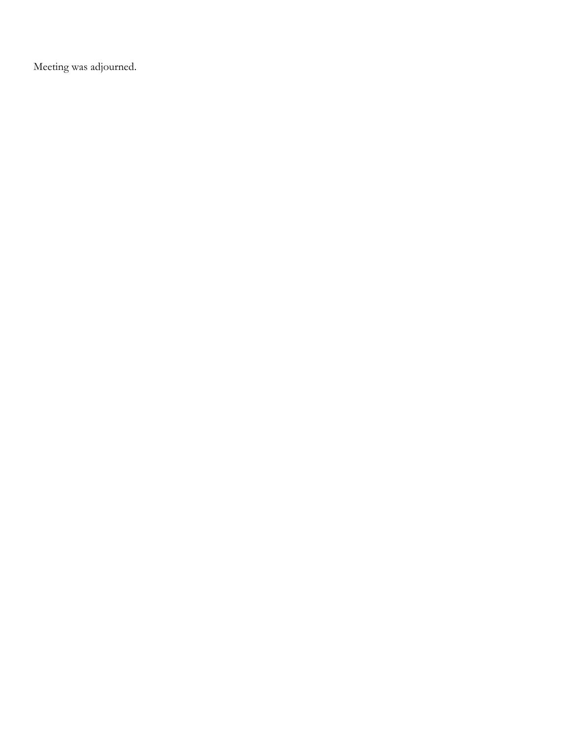Meeting was adjourned.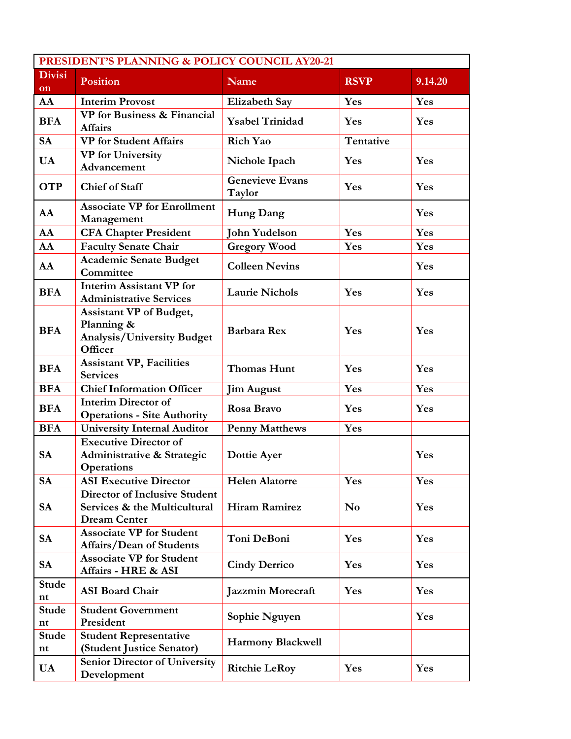| PRESIDENT'S PLANNING & POLICY COUNCIL AY20-21 |                                                                                             |                                  |                |         |  |  |
|-----------------------------------------------|---------------------------------------------------------------------------------------------|----------------------------------|----------------|---------|--|--|
| <b>Divisi</b><br>on                           | <b>Position</b>                                                                             | Name                             | <b>RSVP</b>    | 9.14.20 |  |  |
| AA                                            | <b>Interim Provost</b>                                                                      | <b>Elizabeth Say</b>             | Yes            | Yes     |  |  |
| <b>BFA</b>                                    | <b>VP</b> for Business & Financial<br><b>Affairs</b>                                        | <b>Ysabel Trinidad</b>           | Yes            | Yes     |  |  |
| <b>SA</b>                                     | <b>VP</b> for Student Affairs                                                               | Rich Yao                         | Tentative      |         |  |  |
| <b>UA</b>                                     | <b>VP</b> for University<br>Advancement                                                     | Nichole Ipach                    | Yes            | Yes     |  |  |
| <b>OTP</b>                                    | <b>Chief of Staff</b>                                                                       | <b>Genevieve Evans</b><br>Taylor | Yes            | Yes     |  |  |
| AA                                            | <b>Associate VP for Enrollment</b><br>Management                                            | <b>Hung Dang</b>                 |                | Yes     |  |  |
| AA                                            | <b>CFA Chapter President</b>                                                                | <b>John Yudelson</b>             | Yes            | Yes     |  |  |
| AA                                            | <b>Faculty Senate Chair</b>                                                                 | <b>Gregory Wood</b>              | Yes            | Yes     |  |  |
| AA                                            | <b>Academic Senate Budget</b><br>Committee                                                  | <b>Colleen Nevins</b>            |                | Yes     |  |  |
| <b>BFA</b>                                    | <b>Interim Assistant VP for</b><br><b>Administrative Services</b>                           | <b>Laurie Nichols</b>            | Yes            | Yes     |  |  |
| <b>BFA</b>                                    | <b>Assistant VP</b> of Budget,<br>Planning &<br>Analysis/University Budget<br>Officer       | <b>Barbara Rex</b>               | Yes            | Yes     |  |  |
| <b>BFA</b>                                    | <b>Assistant VP, Facilities</b><br><b>Services</b>                                          | <b>Thomas Hunt</b>               | Yes            | Yes     |  |  |
| <b>BFA</b>                                    | <b>Chief Information Officer</b>                                                            | <b>Jim August</b>                | Yes            | Yes     |  |  |
| <b>BFA</b>                                    | <b>Interim Director of</b><br><b>Operations - Site Authority</b>                            | Rosa Bravo                       | Yes            | Yes     |  |  |
| <b>BFA</b>                                    | <b>University Internal Auditor</b>                                                          | <b>Penny Matthews</b>            | Yes            |         |  |  |
| <b>SA</b>                                     | <b>Executive Director of</b><br>Administrative & Strategic<br><b>Operations</b>             | Dottie Ayer                      |                | Yes     |  |  |
| <b>SA</b>                                     | <b>ASI Executive Director</b>                                                               | <b>Helen Alatorre</b>            | Yes            | Yes     |  |  |
| <b>SA</b>                                     | <b>Director of Inclusive Student</b><br>Services & the Multicultural<br><b>Dream Center</b> | <b>Hiram Ramirez</b>             | N <sub>0</sub> | Yes     |  |  |
| <b>SA</b>                                     | <b>Associate VP for Student</b><br>Affairs/Dean of Students                                 | Toni DeBoni                      | Yes            | Yes     |  |  |
| <b>SA</b>                                     | <b>Associate VP for Student</b><br>Affairs - HRE & ASI                                      | <b>Cindy Derrico</b>             | Yes            | Yes     |  |  |
| <b>Stude</b><br>nt                            | <b>ASI Board Chair</b>                                                                      | <b>Jazzmin Morecraft</b>         | Yes            | Yes     |  |  |
| <b>Stude</b><br>nt                            | <b>Student Government</b><br>President                                                      | Sophie Nguyen                    |                | Yes     |  |  |
| Stude<br>nt                                   | <b>Student Representative</b><br>(Student Justice Senator)                                  | <b>Harmony Blackwell</b>         |                |         |  |  |
| UA                                            | <b>Senior Director of University</b><br>Development                                         | <b>Ritchie LeRoy</b>             | Yes            | Yes     |  |  |